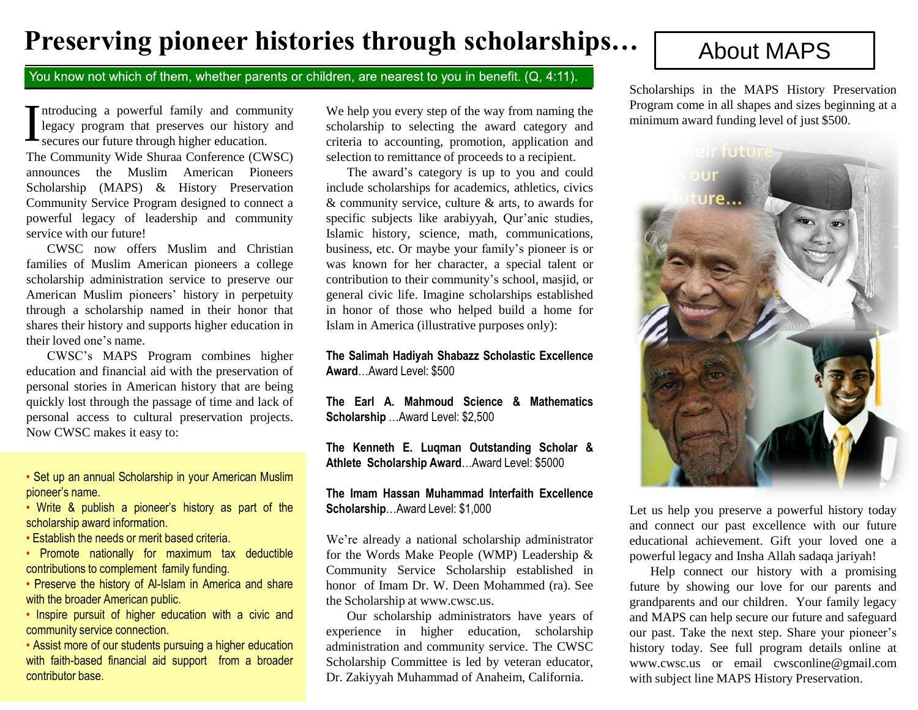# **Preserving pioneer histories through scholarships...** About MAPS

### You know not which of them, whether parents or children, are nearest to you in benefit. (Q, 4:11).

### Introducing a powerful family and comm<br>legacy program that preserves our history<br>secures our future through higher education. ntroducing a powerful family and community legacy program that preserves our history and

The Community Wide Shuraa Conference (CWSC) announces the Muslim American Pioneers Scholarship (MAPS) & History Preservation Community Service Program designed to connect a powerful legacy of leadership and community service with our future!

CWSC now offers Muslim and Christian families of Muslim American pioneers a college scholarship administration service to preserve our American Muslim pioneers' history in perpetuity through a scholarship named in their honor that shares their history and supports higher education in their loved one's name.

CWSC's MAPS Program combines higher education and financial aid with the preservation of personal stories in American history that are being quickly lost through the passage of time and lack of personal access to cultural preservation projects. Now CWSC makes it easy to:

• Set up an annual Scholarship in your American Muslim pioneer's name.

• Write & publish a pioneer's history as part of the scholarship award information.

• Establish the needs or merit based criteria.

• Promote nationally for maximum tax deductible contributions to complement family funding.

• Preserve the history of Al-Islam in America and share with the broader American public.

• Inspire pursuit of higher education with a civic and community service connection.

• Assist more of our students pursuing a higher education with faith-based financial aid support from a broader contributor base.

We help you every step of the way from naming the scholarship to selecting the award category and criteria to accounting, promotion, application and selection to remittance of proceeds to a recipient.

The award's category is up to you and could include scholarships for academics, athletics, civics & community service, culture & arts, to awards for specific subjects like arabiyyah, Qur'anic studies, Islamic history, science, math, communications, business, etc. Or maybe your family's pioneer is or was known for her character, a special talent or contribution to their community's school, masjid, or general civic life. Imagine scholarships established in honor of those who helped build a home for Islam in America (illustrative purposes only):

**The Salimah Hadiyah Shabazz Scholastic Excellence Award**…Award Level: \$500

**The Earl A. Mahmoud Science & Mathematics Scholarship** …Award Level: \$2,500

**The Kenneth E. Luqman Outstanding Scholar & Athlete Scholarship Award**…Award Level: \$5000

### **The Imam Hassan Muhammad Interfaith Excellence Scholarship**…Award Level: \$1,000

We're already a national scholarship administrator for the Words Make People (WMP) Leadership & Community Service Scholarship established in honor of Imam Dr. W. Deen Mohammed (ra). See the Scholarship at www.cwsc.us.

Our scholarship administrators have years of experience in higher education, scholarship administration and community service. The CWSC Scholarship Committee is led by veteran educator, Dr. Zakiyyah Muhammad of Anaheim, California.

Scholarships in the MAPS History Preservation Program come in all shapes and sizes beginning at a minimum award funding level of just \$500.



Let us help you preserve a powerful history today and connect our past excellence with our future educational achievement. Gift your loved one a powerful legacy and Insha Allah sadaqa jariyah!

Help connect our history with a promising future by showing our love for our parents and grandparents and our children. Your family legacy and MAPS can help secure our future and safeguard our past. Take the next step. Share your pioneer's history today. See full program details online at www.cwsc.us or email cwsconline@gmail.com with subject line MAPS History Preservation.